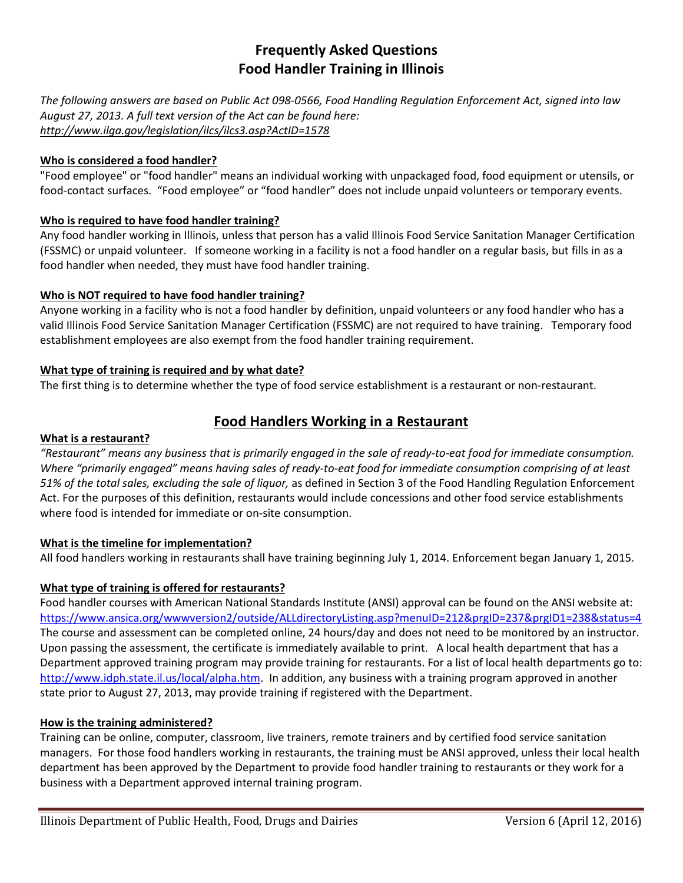# **Frequently Asked Questions Food Handler Training in Illinois**

*The following answers are based on Public Act 098-0566, Food Handling Regulation Enforcement Act, signed into law August 27, 2013. A full text version of the Act can be found here: http://www.ilga.gov/legislation/ilcs/ilcs3.asp?ActID=1578*

### **Who is considered a food handler?**

"Food employee" or "food handler" means an individual working with unpackaged food, food equipment or utensils, or food-contact surfaces. "Food employee" or "food handler" does not include unpaid volunteers or temporary events.

### **Who is required to have food handler training?**

Any food handler working in Illinois, unless that person has a valid Illinois Food Service Sanitation Manager Certification (FSSMC) or unpaid volunteer. If someone working in a facility is not a food handler on a regular basis, but fills in as a food handler when needed, they must have food handler training.

#### **Who is NOT required to have food handler training?**

Anyone working in a facility who is not a food handler by definition, unpaid volunteers or any food handler who has a valid Illinois Food Service Sanitation Manager Certification (FSSMC) are not required to have training. Temporary food establishment employees are also exempt from the food handler training requirement.

### **What type of training is required and by what date?**

The first thing is to determine whether the type of food service establishment is a restaurant or non-restaurant.

# **Food Handlers Working in a Restaurant**

#### **What is a restaurant?**

*"Restaurant" means any business that is primarily engaged in the sale of ready-to-eat food for immediate consumption. Where "primarily engaged" means having sales of ready-to-eat food for immediate consumption comprising of at least 51% of the total sales, excluding the sale of liquor,* as defined in Section 3 of the Food Handling Regulation Enforcement Act. For the purposes of this definition, restaurants would include concessions and other food service establishments where food is intended for immediate or on-site consumption.

#### **What is the timeline for implementation?**

All food handlers working in restaurants shall have training beginning July 1, 2014. Enforcement began January 1, 2015.

## **What type of training is offered for restaurants?**

Food handler courses with American National Standards Institute (ANSI) approval can be found on the ANSI website at: https://www.ansica.org/wwwversion2/outside/ALLdirectoryListing.asp?menuID=212&prgID=237&prgID1=238&status=4 The course and assessment can be completed online, 24 hours/day and does not need to be monitored by an instructor. Upon passing the assessment, the certificate is immediately available to print. A local health department that has a Department approved training program may provide training for restaurants. For a list of local health departments go to: http://www.idph.state.il.us/local/alpha.htm. In addition, any business with a training program approved in another state prior to August 27, 2013, may provide training if registered with the Department.

#### **How is the training administered?**

Training can be online, computer, classroom, live trainers, remote trainers and by certified food service sanitation managers. For those food handlers working in restaurants, the training must be ANSI approved, unless their local health department has been approved by the Department to provide food handler training to restaurants or they work for a business with a Department approved internal training program.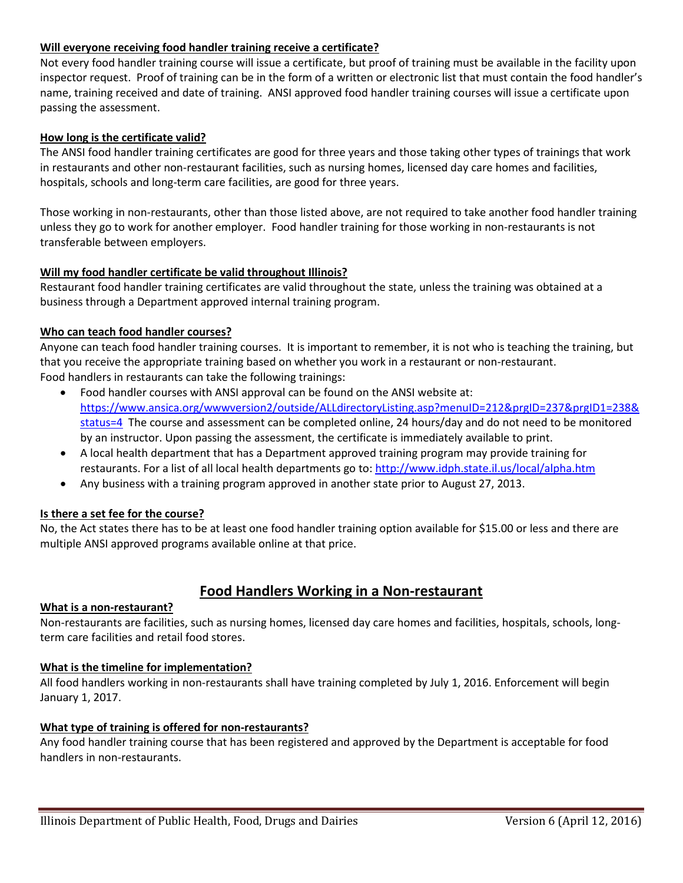### **Will everyone receiving food handler training receive a certificate?**

Not every food handler training course will issue a certificate, but proof of training must be available in the facility upon inspector request. Proof of training can be in the form of a written or electronic list that must contain the food handler's name, training received and date of training. ANSI approved food handler training courses will issue a certificate upon passing the assessment.

### **How long is the certificate valid?**

The ANSI food handler training certificates are good for three years and those taking other types of trainings that work in restaurants and other non-restaurant facilities, such as nursing homes, licensed day care homes and facilities, hospitals, schools and long-term care facilities, are good for three years.

Those working in non-restaurants, other than those listed above, are not required to take another food handler training unless they go to work for another employer. Food handler training for those working in non-restaurants is not transferable between employers.

### **Will my food handler certificate be valid throughout Illinois?**

Restaurant food handler training certificates are valid throughout the state, unless the training was obtained at a business through a Department approved internal training program.

### **Who can teach food handler courses?**

Anyone can teach food handler training courses. It is important to remember, it is not who is teaching the training, but that you receive the appropriate training based on whether you work in a restaurant or non-restaurant. Food handlers in restaurants can take the following trainings:

- Food handler courses with ANSI approval can be found on the ANSI website at: https://www.ansica.org/wwwversion2/outside/ALLdirectoryListing.asp?menuID=212&prgID=237&prgID1=238& status=4 The course and assessment can be completed online, 24 hours/day and do not need to be monitored by an instructor. Upon passing the assessment, the certificate is immediately available to print.
- A local health department that has a Department approved training program may provide training for restaurants. For a list of all local health departments go to: http://www.idph.state.il.us/local/alpha.htm
- Any business with a training program approved in another state prior to August 27, 2013.

#### **Is there a set fee for the course?**

No, the Act states there has to be at least one food handler training option available for \$15.00 or less and there are multiple ANSI approved programs available online at that price.

# **Food Handlers Working in a Non-restaurant**

#### **What is a non-restaurant?**

Non-restaurants are facilities, such as nursing homes, licensed day care homes and facilities, hospitals, schools, longterm care facilities and retail food stores.

#### **What is the timeline for implementation?**

All food handlers working in non-restaurants shall have training completed by July 1, 2016. Enforcement will begin January 1, 2017.

#### **What type of training is offered for non-restaurants?**

Any food handler training course that has been registered and approved by the Department is acceptable for food handlers in non-restaurants.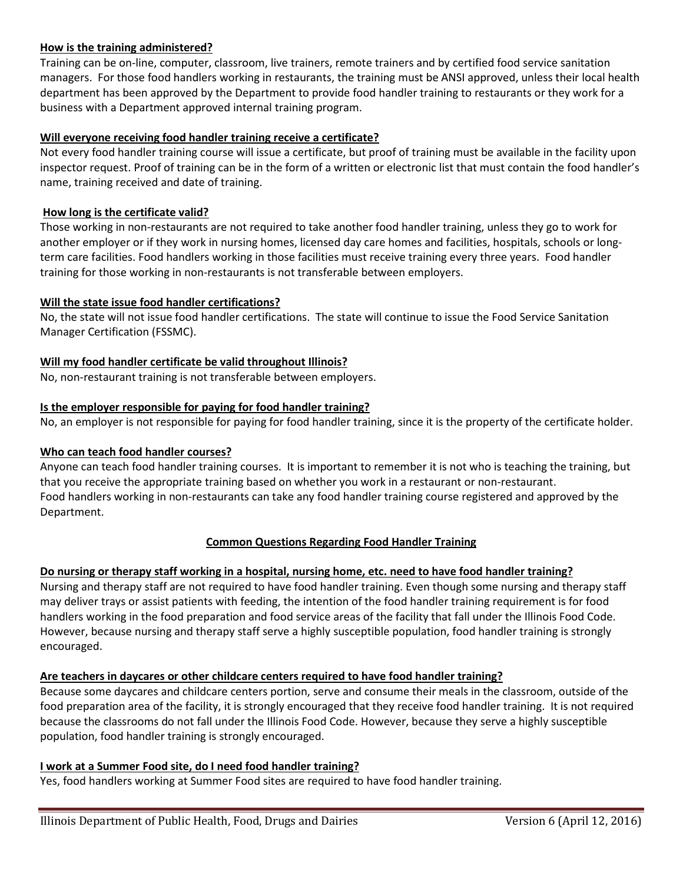### **How is the training administered?**

Training can be on-line, computer, classroom, live trainers, remote trainers and by certified food service sanitation managers. For those food handlers working in restaurants, the training must be ANSI approved, unless their local health department has been approved by the Department to provide food handler training to restaurants or they work for a business with a Department approved internal training program.

### **Will everyone receiving food handler training receive a certificate?**

Not every food handler training course will issue a certificate, but proof of training must be available in the facility upon inspector request. Proof of training can be in the form of a written or electronic list that must contain the food handler's name, training received and date of training.

### **How long is the certificate valid?**

Those working in non-restaurants are not required to take another food handler training, unless they go to work for another employer or if they work in nursing homes, licensed day care homes and facilities, hospitals, schools or longterm care facilities. Food handlers working in those facilities must receive training every three years. Food handler training for those working in non-restaurants is not transferable between employers.

#### **Will the state issue food handler certifications?**

No, the state will not issue food handler certifications. The state will continue to issue the Food Service Sanitation Manager Certification (FSSMC).

### **Will my food handler certificate be valid throughout Illinois?**

No, non-restaurant training is not transferable between employers.

### **Is the employer responsible for paying for food handler training?**

No, an employer is not responsible for paying for food handler training, since it is the property of the certificate holder.

#### **Who can teach food handler courses?**

Anyone can teach food handler training courses. It is important to remember it is not who is teaching the training, but that you receive the appropriate training based on whether you work in a restaurant or non-restaurant. Food handlers working in non-restaurants can take any food handler training course registered and approved by the Department.

## **Common Questions Regarding Food Handler Training**

## **Do nursing or therapy staff working in a hospital, nursing home, etc. need to have food handler training?**

Nursing and therapy staff are not required to have food handler training. Even though some nursing and therapy staff may deliver trays or assist patients with feeding, the intention of the food handler training requirement is for food handlers working in the food preparation and food service areas of the facility that fall under the Illinois Food Code. However, because nursing and therapy staff serve a highly susceptible population, food handler training is strongly encouraged.

#### **Are teachers in daycares or other childcare centers required to have food handler training?**

Because some daycares and childcare centers portion, serve and consume their meals in the classroom, outside of the food preparation area of the facility, it is strongly encouraged that they receive food handler training. It is not required because the classrooms do not fall under the Illinois Food Code. However, because they serve a highly susceptible population, food handler training is strongly encouraged.

#### **I work at a Summer Food site, do I need food handler training?**

Yes, food handlers working at Summer Food sites are required to have food handler training.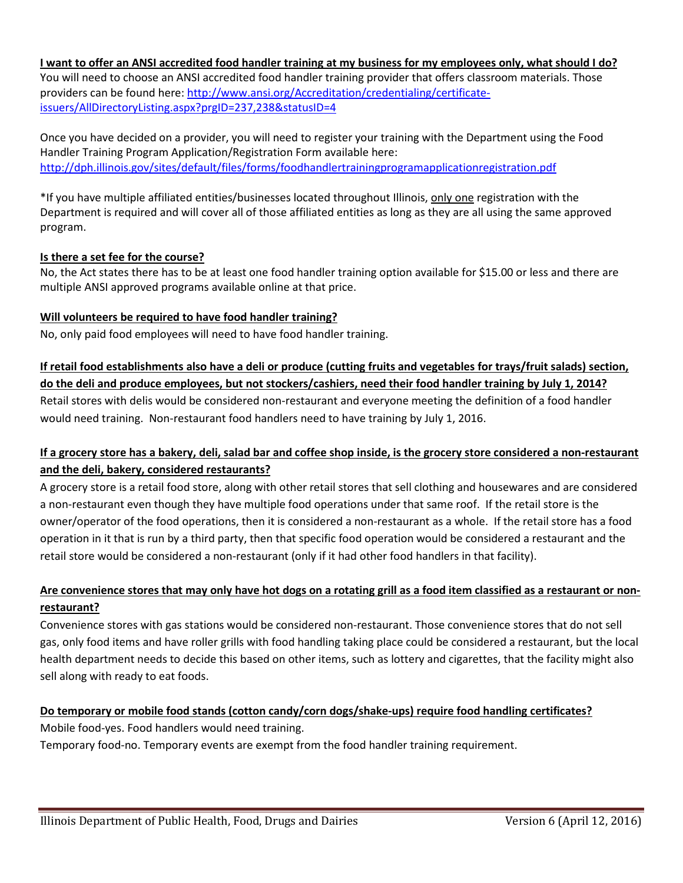**I want to offer an ANSI accredited food handler training at my business for my employees only, what should I do?** You will need to choose an ANSI accredited food handler training provider that offers classroom materials. Those providers can be found here: http://www.ansi.org/Accreditation/credentialing/certificateissuers/AllDirectoryListing.aspx?prgID=237,238&statusID=4

Once you have decided on a provider, you will need to register your training with the Department using the Food Handler Training Program Application/Registration Form available here: http://dph.illinois.gov/sites/default/files/forms/foodhandlertrainingprogramapplicationregistration.pdf

\*If you have multiple affiliated entities/businesses located throughout Illinois, only one registration with the Department is required and will cover all of those affiliated entities as long as they are all using the same approved program.

## **Is there a set fee for the course?**

No, the Act states there has to be at least one food handler training option available for \$15.00 or less and there are multiple ANSI approved programs available online at that price.

## **Will volunteers be required to have food handler training?**

No, only paid food employees will need to have food handler training.

# **If retail food establishments also have a deli or produce (cutting fruits and vegetables for trays/fruit salads) section,**

**do the deli and produce employees, but not stockers/cashiers, need their food handler training by July 1, 2014?** Retail stores with delis would be considered non-restaurant and everyone meeting the definition of a food handler would need training. Non-restaurant food handlers need to have training by July 1, 2016.

# **If a grocery store has a bakery, deli, salad bar and coffee shop inside, is the grocery store considered a non-restaurant and the deli, bakery, considered restaurants?**

A grocery store is a retail food store, along with other retail stores that sell clothing and housewares and are considered a non-restaurant even though they have multiple food operations under that same roof. If the retail store is the owner/operator of the food operations, then it is considered a non-restaurant as a whole. If the retail store has a food operation in it that is run by a third party, then that specific food operation would be considered a restaurant and the retail store would be considered a non-restaurant (only if it had other food handlers in that facility).

# **Are convenience stores that may only have hot dogs on a rotating grill as a food item classified as a restaurant or nonrestaurant?**

Convenience stores with gas stations would be considered non-restaurant. Those convenience stores that do not sell gas, only food items and have roller grills with food handling taking place could be considered a restaurant, but the local health department needs to decide this based on other items, such as lottery and cigarettes, that the facility might also sell along with ready to eat foods.

# **Do temporary or mobile food stands (cotton candy/corn dogs/shake-ups) require food handling certificates?**

Mobile food-yes. Food handlers would need training.

Temporary food-no. Temporary events are exempt from the food handler training requirement.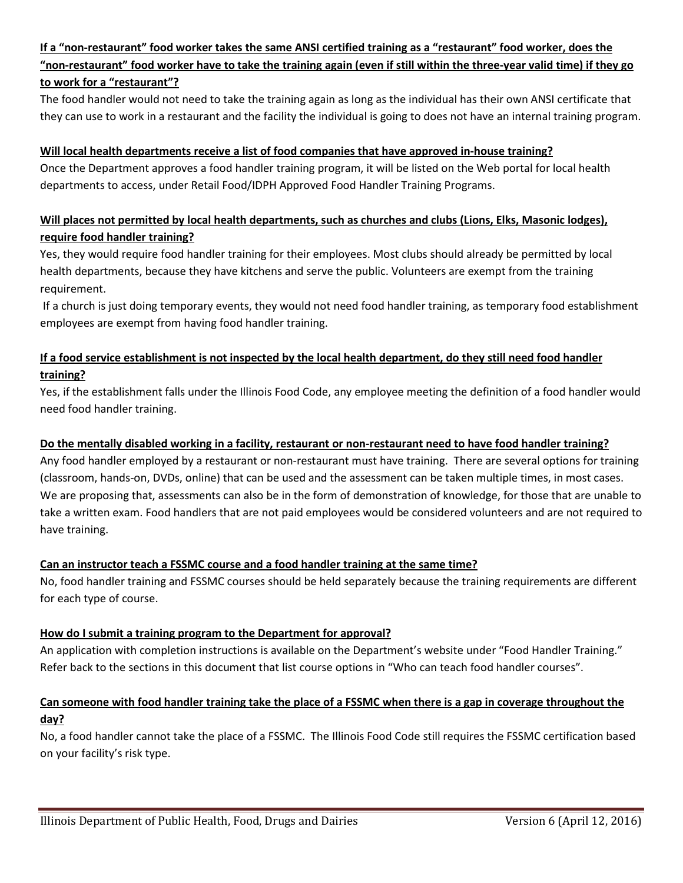# **If a "non-restaurant" food worker takes the same ANSI certified training as a "restaurant" food worker, does the "non-restaurant" food worker have to take the training again (even if still within the three-year valid time) if they go to work for a "restaurant"?**

The food handler would not need to take the training again as long as the individual has their own ANSI certificate that they can use to work in a restaurant and the facility the individual is going to does not have an internal training program.

## **Will local health departments receive a list of food companies that have approved in-house training?**

Once the Department approves a food handler training program, it will be listed on the Web portal for local health departments to access, under Retail Food/IDPH Approved Food Handler Training Programs.

# **Will places not permitted by local health departments, such as churches and clubs (Lions, Elks, Masonic lodges), require food handler training?**

Yes, they would require food handler training for their employees. Most clubs should already be permitted by local health departments, because they have kitchens and serve the public. Volunteers are exempt from the training requirement.

If a church is just doing temporary events, they would not need food handler training, as temporary food establishment employees are exempt from having food handler training.

## **If a food service establishment is not inspected by the local health department, do they still need food handler training?**

Yes, if the establishment falls under the Illinois Food Code, any employee meeting the definition of a food handler would need food handler training.

## **Do the mentally disabled working in a facility, restaurant or non-restaurant need to have food handler training?**

Any food handler employed by a restaurant or non-restaurant must have training. There are several options for training (classroom, hands-on, DVDs, online) that can be used and the assessment can be taken multiple times, in most cases. We are proposing that, assessments can also be in the form of demonstration of knowledge, for those that are unable to take a written exam. Food handlers that are not paid employees would be considered volunteers and are not required to have training.

## **Can an instructor teach a FSSMC course and a food handler training at the same time?**

No, food handler training and FSSMC courses should be held separately because the training requirements are different for each type of course.

## **How do I submit a training program to the Department for approval?**

An application with completion instructions is available on the Department's website under "Food Handler Training." Refer back to the sections in this document that list course options in "Who can teach food handler courses".

# **Can someone with food handler training take the place of a FSSMC when there is a gap in coverage throughout the day?**

No, a food handler cannot take the place of a FSSMC. The Illinois Food Code still requires the FSSMC certification based on your facility's risk type.